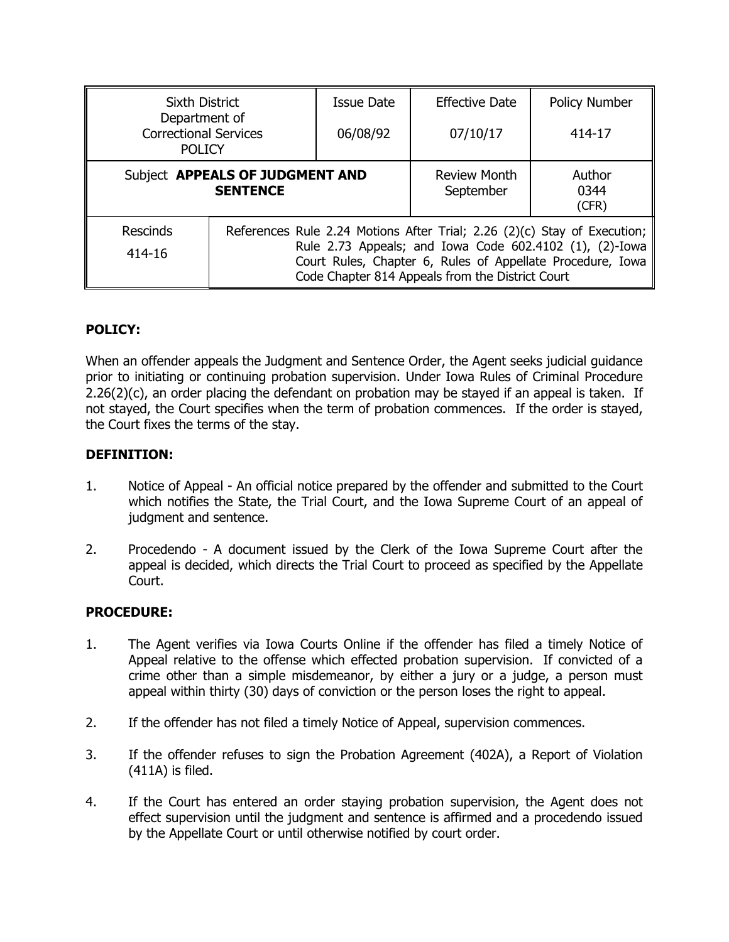| <b>Sixth District</b>                                          |                                                                                                                                                                                                                                                       | Issue Date | <b>Effective Date</b>            | Policy Number           |
|----------------------------------------------------------------|-------------------------------------------------------------------------------------------------------------------------------------------------------------------------------------------------------------------------------------------------------|------------|----------------------------------|-------------------------|
| Department of<br><b>Correctional Services</b><br><b>POLICY</b> |                                                                                                                                                                                                                                                       | 06/08/92   | 07/10/17                         | 414-17                  |
| Subject APPEALS OF JUDGMENT AND<br><b>SENTENCE</b>             |                                                                                                                                                                                                                                                       |            | <b>Review Month</b><br>September | Author<br>0344<br>(CFR) |
| Rescinds<br>414-16                                             | References Rule 2.24 Motions After Trial; 2.26 (2)(c) Stay of Execution;<br>Rule 2.73 Appeals; and Iowa Code 602.4102 (1), (2)-Iowa<br>Court Rules, Chapter 6, Rules of Appellate Procedure, Iowa<br>Code Chapter 814 Appeals from the District Court |            |                                  |                         |

# **POLICY:**

When an offender appeals the Judgment and Sentence Order, the Agent seeks judicial guidance prior to initiating or continuing probation supervision. Under Iowa Rules of Criminal Procedure  $2.26(2)(c)$ , an order placing the defendant on probation may be stayed if an appeal is taken. If not stayed, the Court specifies when the term of probation commences. If the order is stayed, the Court fixes the terms of the stay.

# **DEFINITION:**

- 1. Notice of Appeal An official notice prepared by the offender and submitted to the Court which notifies the State, the Trial Court, and the Iowa Supreme Court of an appeal of judgment and sentence.
- 2. Procedendo A document issued by the Clerk of the Iowa Supreme Court after the appeal is decided, which directs the Trial Court to proceed as specified by the Appellate Court.

# **PROCEDURE:**

- 1. The Agent verifies via Iowa Courts Online if the offender has filed a timely Notice of Appeal relative to the offense which effected probation supervision. If convicted of a crime other than a simple misdemeanor, by either a jury or a judge, a person must appeal within thirty (30) days of conviction or the person loses the right to appeal.
- 2. If the offender has not filed a timely Notice of Appeal, supervision commences.
- 3. If the offender refuses to sign the Probation Agreement (402A), a Report of Violation (411A) is filed.
- 4. If the Court has entered an order staying probation supervision, the Agent does not effect supervision until the judgment and sentence is affirmed and a procedendo issued by the Appellate Court or until otherwise notified by court order.